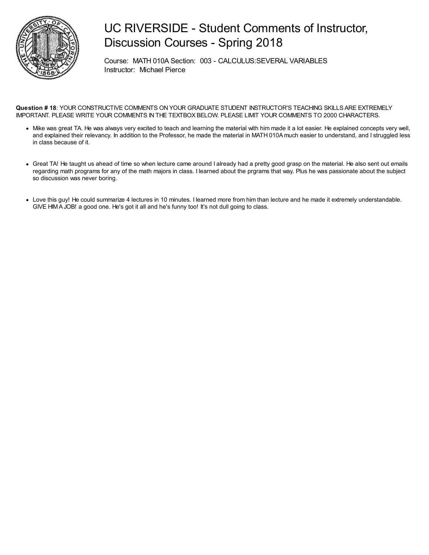

Course: MATH 010A Section: 003 - CALCULUS:SEVERAL VARIABLES Instructor: Michael Pierce

- Mike was great TA. He was always very excited to teach and learning the material with him made it a lot easier. He explained concepts very well, and explained their relevancy. In addition to the Professor, he made the material in MATH 010A much easier to understand, and I struggled less in class because of it.
- Great TA! He taught us ahead of time so when lecture came around I already had a pretty good grasp on the material. He also sent out emails regarding math programs for any of the math majors in class. I learned about the prgrams that way. Plus he was passionate about the subject so discussion was never boring.
- Love this guy! He could summarize 4 lectures in 10 minutes. I learned more from him than lecture and he made it extremely understandable. GIVE HIMA JOB! a good one. He's got it all and he's funny too! It's not dull going to class.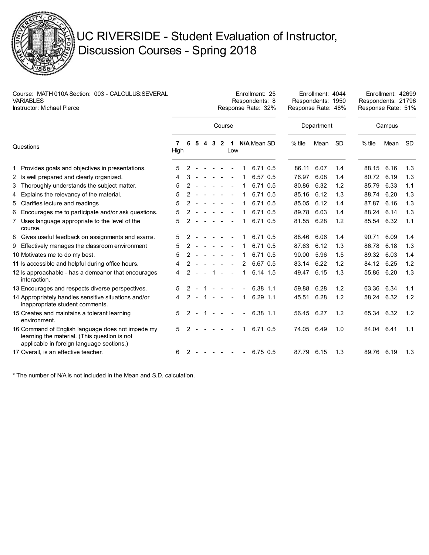

| Course: MATH 010A Section: 003 - CALCULUS:SEVERAL<br><b>VARIABLES</b><br><b>Instructor: Michael Pierce</b> |                                                                                                                                                |           |               |                |   |                |                |        |                | Enrollment: 25<br>Respondents: 8<br>Response Rate: 32% | Enrollment: 4044<br>Enrollment: 42699<br>Respondents: 1950<br>Respondents: 21796<br>Response Rate: 48%<br>Response Rate: 51% |            |           |          |        |           |  |  |  |
|------------------------------------------------------------------------------------------------------------|------------------------------------------------------------------------------------------------------------------------------------------------|-----------|---------------|----------------|---|----------------|----------------|--------|----------------|--------------------------------------------------------|------------------------------------------------------------------------------------------------------------------------------|------------|-----------|----------|--------|-----------|--|--|--|
|                                                                                                            |                                                                                                                                                |           |               |                |   |                | Course         |        |                |                                                        |                                                                                                                              | Department |           |          | Campus |           |  |  |  |
| Questions                                                                                                  |                                                                                                                                                | 7<br>High | 6             | $\overline{5}$ | 4 | $\overline{3}$ | $\overline{2}$ | Low    |                | 1 N/A Mean SD                                          | % tile                                                                                                                       | Mean       | <b>SD</b> | $%$ tile | Mean   | <b>SD</b> |  |  |  |
|                                                                                                            | 1 Provides goals and objectives in presentations.                                                                                              | 5         | 2             |                |   |                |                |        |                | 6.71 0.5                                               | 86.11                                                                                                                        | 6.07       | 1.4       | 88.15    | 6.16   | 1.3       |  |  |  |
|                                                                                                            | 2 Is well prepared and clearly organized.                                                                                                      | 4         | 3             |                |   |                | $\sim$         | $\sim$ | 1              | 6.57 0.5                                               | 76.97                                                                                                                        | 6.08       | 1.4       | 80.72    | 6.19   | 1.3       |  |  |  |
|                                                                                                            | 3 Thoroughly understands the subject matter.                                                                                                   | 5         |               |                |   |                |                |        | 1              | 6.71 0.5                                               | 80.86                                                                                                                        | 6.32       | 1.2       | 85.79    | 6.33   | 1.1       |  |  |  |
|                                                                                                            | 4 Explains the relevancy of the material.                                                                                                      | 5         | 2             |                |   |                |                |        | 1              | 6.71 0.5                                               | 85.16                                                                                                                        | 6.12       | 1.3       | 88.74    | 6.20   | 1.3       |  |  |  |
|                                                                                                            | 5 Clarifies lecture and readings                                                                                                               | 5         |               |                |   |                |                |        | 1              | 6.71 0.5                                               | 85.05                                                                                                                        | 6.12       | 1.4       | 87.87    | 6.16   | 1.3       |  |  |  |
| 6                                                                                                          | Encourages me to participate and/or ask questions.                                                                                             | 5         |               |                |   |                |                |        | 1              | 6.71 0.5                                               | 89.78                                                                                                                        | 6.03       | 1.4       | 88.24    | 6.14   | 1.3       |  |  |  |
|                                                                                                            | 7 Uses language appropriate to the level of the<br>course.                                                                                     | 5         |               |                |   |                |                |        |                | 6.71 0.5                                               | 81.55                                                                                                                        | 6.28       | 1.2       | 85.54    | 6.32   | 1.1       |  |  |  |
|                                                                                                            | 8 Gives useful feedback on assignments and exams.                                                                                              | 5         | 2             |                |   |                |                |        | 1              | 6.71 0.5                                               | 88.46                                                                                                                        | 6.06       | 1.4       | 90.71    | 6.09   | 1.4       |  |  |  |
|                                                                                                            | 9 Effectively manages the classroom environment                                                                                                | 5         | 2             |                |   | $\sim$         | $\sim$         |        | 1              | 6.71 0.5                                               | 87.63                                                                                                                        | 6.12       | 1.3       | 86.78    | 6.18   | 1.3       |  |  |  |
|                                                                                                            | 10 Motivates me to do my best.                                                                                                                 | 5         |               |                |   |                |                |        | 1              | 6.71 0.5                                               | 90.00                                                                                                                        | 5.96       | 1.5       | 89.32    | 6.03   | 1.4       |  |  |  |
|                                                                                                            | 11 Is accessible and helpful during office hours.                                                                                              | 4         |               |                |   |                |                |        | 2              | 6.67 0.5                                               | 83.14                                                                                                                        | 6.22       | 1.2       | 84.12    | 6.25   | 1.2       |  |  |  |
|                                                                                                            | 12 ls approachable - has a demeanor that encourages<br>interaction.                                                                            | 4         |               |                |   | $\mathbf{1}$   | $\sim$         | $\sim$ | 1              | 6.14 1.5                                               | 49.47                                                                                                                        | 6.15       | 1.3       | 55.86    | 6.20   | 1.3       |  |  |  |
|                                                                                                            | 13 Encourages and respects diverse perspectives.                                                                                               | 5         |               |                |   |                | $\sim$         |        |                | 6.38 1.1                                               | 59.88                                                                                                                        | 6.28       | 1.2       | 63.36    | 6.34   | 1.1       |  |  |  |
|                                                                                                            | 14 Appropriately handles sensitive situations and/or<br>inappropriate student comments.                                                        | 4         | 2             | $\sim$         |   |                | $1 - - -$      |        | 1              | $6.29$ 1.1                                             | 45.51                                                                                                                        | 6.28       | 1.2       | 58.24    | 6.32   | 1.2       |  |  |  |
|                                                                                                            | 15 Creates and maintains a tolerant learning<br>environment.                                                                                   | 5         | $\mathcal{P}$ |                | 1 | $\sim$         | $\sim$         | $\sim$ | $\blacksquare$ | 6.38 1.1                                               | 56.45                                                                                                                        | 6.27       | 1.2       | 65.34    | 6.32   | 1.2       |  |  |  |
|                                                                                                            | 16 Command of English language does not impede my<br>learning the material. (This question is not<br>applicable in foreign language sections.) | 5         | 2             |                |   |                |                |        | 1.             | 6.71 0.5                                               | 74.05                                                                                                                        | 6.49       | 1.0       | 84.04    | 6.41   | 1.1       |  |  |  |
|                                                                                                            | 17 Overall, is an effective teacher.                                                                                                           | 6         | 2             |                |   |                | $\sim$         |        | $\blacksquare$ | 6.75 0.5                                               | 87.79                                                                                                                        | 6.15       | 1.3       | 89.76    | 6.19   | 1.3       |  |  |  |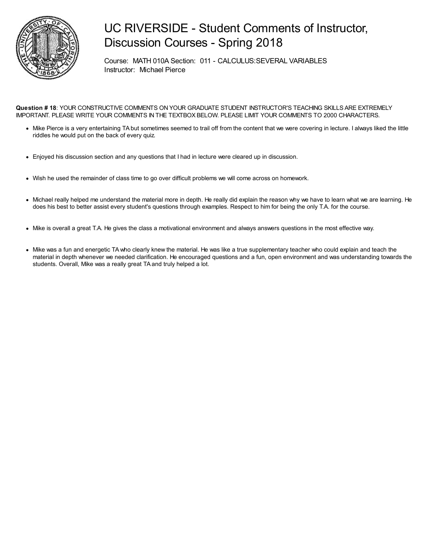

Course: MATH 010A Section: 011 - CALCULUS:SEVERAL VARIABLES Instructor: Michael Pierce

- Mike Pierce is a very entertaining TA but sometimes seemed to trail off from the content that we were covering in lecture. I always liked the little riddles he would put on the back of every quiz.
- Enjoyed his discussion section and any questions that I had in lecture were cleared up in discussion.
- Wish he used the remainder of class time to go over difficult problems we will come across on homework.
- Michael really helped me understand the material more in depth. He really did explain the reason why we have to learn what we are learning. He does his best to better assist every student's questions through examples. Respect to him for being the only T.A. for the course.
- Mike is overall a great T.A. He gives the class a motivational environment and always answers questions in the most effective way.
- Mike was a fun and energetic TAwho clearly knew the material. He was like a true supplementary teacher who could explain and teach the material in depth whenever we needed clarification. He encouraged questions and a fun, open environment and was understanding towards the students. Overall, Mike was a really great TA and truly helped a lot.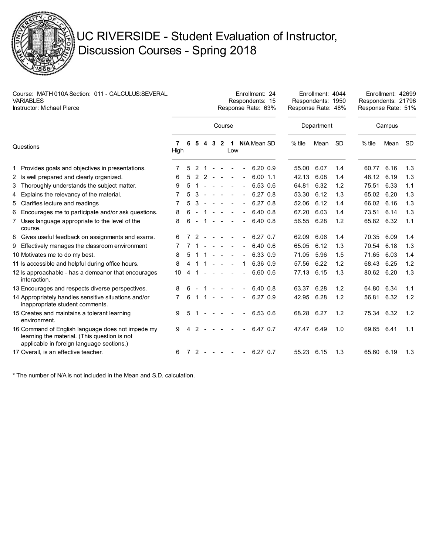

| Course: MATH 010A Section: 011 - CALCULUS: SEVERAL<br><b>VARIABLES</b><br><b>Instructor: Michael Pierce</b> |                                                                                                                                                |           |   |                |       |                          |                          |                  |                | Enrollment: 24<br>Respondents: 15<br>Response Rate: 63% | Enrollment: 4044<br>Enrollment: 42699<br>Respondents: 1950<br>Respondents: 21796<br>Response Rate: 48%<br>Response Rate: 51% |            |     |          |      |           |
|-------------------------------------------------------------------------------------------------------------|------------------------------------------------------------------------------------------------------------------------------------------------|-----------|---|----------------|-------|--------------------------|--------------------------|------------------|----------------|---------------------------------------------------------|------------------------------------------------------------------------------------------------------------------------------|------------|-----|----------|------|-----------|
|                                                                                                             |                                                                                                                                                |           |   |                |       |                          |                          |                  |                |                                                         |                                                                                                                              | Department |     | Campus   |      |           |
| Questions                                                                                                   |                                                                                                                                                | 7<br>High | 6 | $\overline{2}$ |       |                          | <u>432</u>               | Low              |                | 1 N/A Mean SD                                           | $%$ tile                                                                                                                     | Mean       | -SD | $%$ tile | Mean | <b>SD</b> |
|                                                                                                             | 1 Provides goals and objectives in presentations.                                                                                              |           | 5 | 2 1            |       | $\sim$                   | $\overline{\phantom{a}}$ |                  |                | $6.20\;0.9$                                             | 55.00                                                                                                                        | 6.07       | 1.4 | 60.77    | 6.16 | 1.3       |
|                                                                                                             | 2 Is well prepared and clearly organized.                                                                                                      | 6         | 5 | 2              | $2 -$ |                          | $\sim$                   | $\sim$           | $\blacksquare$ | $6.00$ 1.1                                              | 42.13                                                                                                                        | 6.08       | 1.4 | 48.12    | 6.19 | 1.3       |
|                                                                                                             | 3 Thoroughly understands the subject matter.                                                                                                   | 9         | 5 |                |       |                          |                          |                  |                | 6.53 0.6                                                | 64.81                                                                                                                        | 6.32       | 1.2 | 75.51    | 6.33 | 1.1       |
| 4                                                                                                           | Explains the relevancy of the material.                                                                                                        | 7         | 5 | 3              |       | $\overline{\phantom{a}}$ | $\sim$                   |                  |                | $6.27$ $0.8$                                            | 53.30                                                                                                                        | 6.12       | 1.3 | 65.02    | 6.20 | 1.3       |
|                                                                                                             | 5 Clarifies lecture and readings                                                                                                               | 7         | 5 | 3              |       | $\sim$                   | $\sim$                   |                  |                | $6.27$ $0.8$                                            | 52.06                                                                                                                        | 6.12       | 1.4 | 66.02    | 6.16 | 1.3       |
|                                                                                                             | 6 Encourages me to participate and/or ask questions.                                                                                           | 8         | 6 |                |       |                          |                          |                  |                | 6.40 0.8                                                | 67.20                                                                                                                        | 6.03       | 1.4 | 73.51    | 6.14 | 1.3       |
|                                                                                                             | 7 Uses language appropriate to the level of the<br>course.                                                                                     | 8         | 6 |                |       |                          |                          |                  |                | $6.40\;0.8$                                             | 56.55                                                                                                                        | 6.28       | 1.2 | 65.82    | 6.32 | 1.1       |
|                                                                                                             | 8 Gives useful feedback on assignments and exams.                                                                                              | 6         |   | $\mathcal{P}$  |       |                          |                          |                  |                | $6.27$ 0.7                                              | 62.09                                                                                                                        | 6.06       | 1.4 | 70.35    | 6.09 | 1.4       |
|                                                                                                             | 9 Effectively manages the classroom environment                                                                                                | 7         |   |                |       | $\sim$                   | $\sim$                   |                  | $\blacksquare$ | 6.40 0.6                                                | 65.05                                                                                                                        | 6.12       | 1.3 | 70.54    | 6.18 | 1.3       |
|                                                                                                             | 10 Motivates me to do my best.                                                                                                                 | 8         |   |                |       |                          | $\sim$                   |                  |                | 6.33 0.9                                                | 71.05                                                                                                                        | 5.96       | 1.5 | 71.65    | 6.03 | 1.4       |
|                                                                                                             | 11 Is accessible and helpful during office hours.                                                                                              | 8         |   |                |       |                          |                          |                  | 1              | 6.36 0.9                                                | 57.56                                                                                                                        | 6.22       | 1.2 | 68.43    | 6.25 | 1.2       |
|                                                                                                             | 12 ls approachable - has a demeanor that encourages<br>interaction.                                                                            | 10        | 4 |                |       |                          |                          |                  |                | 6.60 0.6                                                | 77.13                                                                                                                        | 6.15       | 1.3 | 80.62    | 6.20 | 1.3       |
|                                                                                                             | 13 Encourages and respects diverse perspectives.                                                                                               | 8         |   |                |       |                          |                          |                  |                | 6.40 0.8                                                | 63.37                                                                                                                        | 6.28       | 1.2 | 64.80    | 6.34 | 1.1       |
|                                                                                                             | 14 Appropriately handles sensitive situations and/or<br>inappropriate student comments.                                                        | 7         | 6 | 1              | -1    | $\sim$                   | $\sim$                   | $\sim$           | $\blacksquare$ | 6.27 0.9                                                | 42.95                                                                                                                        | 6.28       | 1.2 | 56.81    | 6.32 | 1.2       |
|                                                                                                             | 15 Creates and maintains a tolerant learning<br>environment.                                                                                   | 9         | 5 |                |       |                          | $\sim$                   |                  |                | 6.53 0.6                                                | 68.28                                                                                                                        | 6.27       | 1.2 | 75.34    | 6.32 | 1.2       |
|                                                                                                             | 16 Command of English language does not impede my<br>learning the material. (This question is not<br>applicable in foreign language sections.) | 9         | 4 | 2              |       |                          |                          |                  |                | 6.47 0.7                                                | 47.47                                                                                                                        | 6.49       | 1.0 | 69.65    | 6.41 | 1.1       |
|                                                                                                             | 17 Overall, is an effective teacher.                                                                                                           | 6         | 7 | $2 -$          |       | $\sim$                   | $\sim$                   | $\sim$ 100 $\pm$ |                | $-6.27$ 0.7                                             | 55.23 6.15                                                                                                                   |            | 1.3 | 65.60    | 6.19 | 1.3       |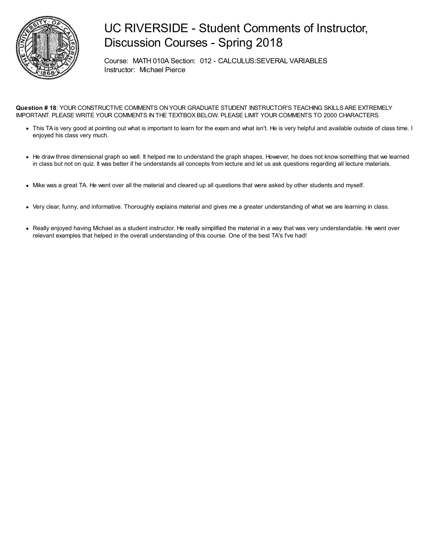

Course: MATH 010A Section: 012 - CALCULUS:SEVERAL VARIABLES Instructor: Michael Pierce

- This TA is very good at pointing out what is important to learn for the exam and what isn't. He is very helpful and available outside of class time. I enjoyed his class very much.
- He draw three dimensional graph so well. It helped me to understand the graph shapes. However, he does not know something that we learned in class but not on quiz. It was better if he understands all concepts from lecture and let us ask questions regarding all lecture materials.
- Mike was a great TA. He went over all the material and cleared up all questions that were asked by other students and myself.
- Very clear, funny, and informative. Thoroughly explains material and gives me a greater understanding of what we are learning in class.
- Really enjoyed having Michael as a student instructor. He really simplified the material in a way that was very understandable. He went over relevant examples that helped in the overall understanding of this course. One of the best TA's I've had!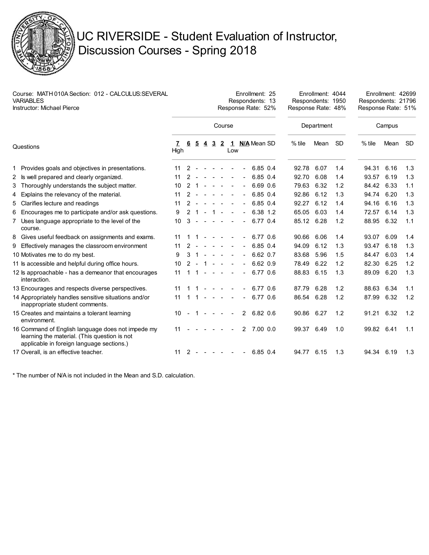

| Course: MATH 010A Section: 012 - CALCULUS:SEVERAL<br><b>VARIABLES</b><br><b>Instructor: Michael Pierce</b> |                                                                                                                                                |           |               |                |                |                     |                  |        |                | Enrollment: 25<br>Respondents: 13<br>Response Rate: 52% | Enrollment: 4044<br>Enrollment: 42699<br>Respondents: 1950<br>Respondents: 21796<br>Response Rate: 48%<br>Response Rate: 51% |      |        |            |      |     |
|------------------------------------------------------------------------------------------------------------|------------------------------------------------------------------------------------------------------------------------------------------------|-----------|---------------|----------------|----------------|---------------------|------------------|--------|----------------|---------------------------------------------------------|------------------------------------------------------------------------------------------------------------------------------|------|--------|------------|------|-----|
|                                                                                                            |                                                                                                                                                | Course    |               |                |                |                     |                  |        |                |                                                         | Department                                                                                                                   |      | Campus |            |      |     |
| Questions                                                                                                  |                                                                                                                                                | 7<br>High | 6             | $\overline{5}$ | $\overline{4}$ | $3\overline{2}$     |                  | Low    |                | 1 N/A Mean SD                                           | $%$ tile                                                                                                                     | Mean | -SD.   | $%$ tile   | Mean | -SD |
|                                                                                                            | 1 Provides goals and objectives in presentations.                                                                                              | 11        | $2 -$         |                |                | $\sim$              | $\sim$           |        |                | 6.85 0.4                                                | 92.78                                                                                                                        | 6.07 | 1.4    | 94.31      | 6.16 | 1.3 |
|                                                                                                            | 2 Is well prepared and clearly organized.                                                                                                      | 11        | 2             |                |                | $\sim$              | $\sim$           | $\sim$ | $\sim$         | 6.85 0.4                                                | 92.70                                                                                                                        | 6.08 | 1.4    | 93.57      | 6.19 | 1.3 |
|                                                                                                            | 3 Thoroughly understands the subject matter.                                                                                                   | 10        | 2             | -1             |                |                     |                  |        |                | 6.69 0.6                                                | 79.63                                                                                                                        | 6.32 | 1.2    | 84.42      | 6.33 | 1.1 |
| 4                                                                                                          | Explains the relevancy of the material.                                                                                                        | 11        | 2             |                |                |                     | $\sim$           |        | $\blacksquare$ | 6.85 0.4                                                | 92.86                                                                                                                        | 6.12 | 1.3    | 94.74      | 6.20 | 1.3 |
|                                                                                                            | 5 Clarifies lecture and readings                                                                                                               | 11        | 2             |                |                | $\sim$              | $\sim$           |        |                | 6.85 0.4                                                | 92.27                                                                                                                        | 6.12 | 1.4    | 94.16      | 6.16 | 1.3 |
|                                                                                                            | 6 Encourages me to participate and/or ask questions.                                                                                           | 9         | $\mathcal{P}$ | $\overline{1}$ |                | $\overline{1}$      | $\sim$           |        |                | 6.38 1.2                                                | 65.05                                                                                                                        | 6.03 | 1.4    | 72.57      | 6.14 | 1.3 |
|                                                                                                            | 7 Uses language appropriate to the level of the<br>course.                                                                                     | 10        | 3             |                |                |                     |                  |        |                | 6.77 0.4                                                | 85.12 6.28                                                                                                                   |      | 1.2    | 88.95      | 6.32 | 1.1 |
|                                                                                                            | 8 Gives useful feedback on assignments and exams.                                                                                              | 11        |               |                |                | $\sim$              |                  |        |                | 6.77 0.6                                                | 90.66                                                                                                                        | 6.06 | 1.4    | 93.07      | 6.09 | 1.4 |
|                                                                                                            | 9 Effectively manages the classroom environment                                                                                                | 11        | 2             |                |                |                     | $\sim$           |        |                | 6.85 0.4                                                | 94.09                                                                                                                        | 6.12 | 1.3    | 93.47      | 6.18 | 1.3 |
|                                                                                                            | 10 Motivates me to do my best.                                                                                                                 | 9         |               |                |                |                     | $\sim$           |        |                | 6.62 0.7                                                | 83.68                                                                                                                        | 5.96 | 1.5    | 84.47      | 6.03 | 1.4 |
|                                                                                                            | 11 Is accessible and helpful during office hours.                                                                                              | 10        | 2             |                |                |                     |                  |        |                | 6.62 0.9                                                | 78.49                                                                                                                        | 6.22 | 1.2    | 82.30      | 6.25 | 1.2 |
|                                                                                                            | 12 ls approachable - has a demeanor that encourages<br>interaction.                                                                            | 11        |               |                |                |                     |                  |        |                | 6.77 0.6                                                | 88.83                                                                                                                        | 6.15 | 1.3    | 89.09      | 6.20 | 1.3 |
|                                                                                                            | 13 Encourages and respects diverse perspectives.                                                                                               | 11        |               |                |                |                     |                  |        |                | 6.77 0.6                                                | 87.79                                                                                                                        | 6.28 | 1.2    | 88.63      | 6.34 | 1.1 |
|                                                                                                            | 14 Appropriately handles sensitive situations and/or<br>inappropriate student comments.                                                        | 11        |               |                | $\sim$         | $\sim$ $ \sim$ $ -$ |                  | $\sim$ | $\blacksquare$ | 6.77 0.6                                                | 86.54                                                                                                                        | 6.28 | 1.2    | 87.99      | 6.32 | 1.2 |
|                                                                                                            | 15 Creates and maintains a tolerant learning<br>environment.                                                                                   | 10        |               | $\mathbf 1$    | $\sim$         | $\sim$ $-$          | $\sim$ 100 $\pm$ |        | $\mathbf{2}$   | 6.82 0.6                                                | 90.86                                                                                                                        | 6.27 | 1.2    | 91.21      | 6.32 | 1.2 |
|                                                                                                            | 16 Command of English language does not impede my<br>learning the material. (This question is not<br>applicable in foreign language sections.) | 11        |               |                |                |                     |                  |        |                | 2, 7.00, 0.0                                            | 99.37 6.49                                                                                                                   |      | 1.0    | 99.82 6.41 |      | 1.1 |
|                                                                                                            | 17 Overall, is an effective teacher.                                                                                                           | 11        | 2             |                |                |                     | $\sim$           |        |                | 6.85 0.4                                                | 94.77 6.15                                                                                                                   |      | 1.3    | 94.34 6.19 |      | 1.3 |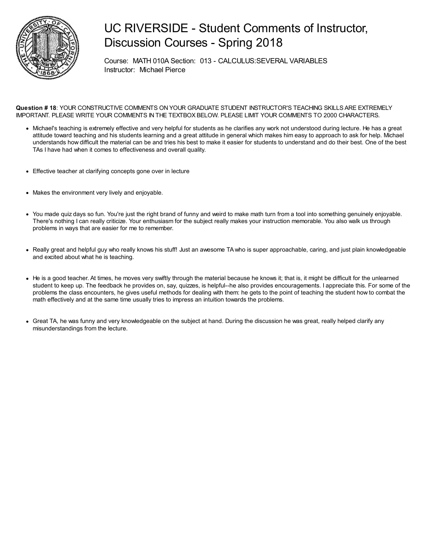

Course: MATH 010A Section: 013 - CALCULUS:SEVERAL VARIABLES Instructor: Michael Pierce

- Michael's teaching is extremely effective and very helpful for students as he clarifies any work not understood during lecture. He has a great attitude toward teaching and his students learning and a great attitude in general which makes him easy to approach to ask for help. Michael understands how difficult the material can be and tries his best to make it easier for students to understand and do their best. One of the best TAs I have had when it comes to effectiveness and overall quality.
- Effective teacher at clarifying concepts gone over in lecture
- Makes the environment very lively and enjoyable.
- You made quiz days so fun. You're just the right brand of funny and weird to make math turn from a tool into something genuinely enjoyable. There's nothing I can really criticize. Your enthusiasm for the subject really makes your instruction memorable. You also walk us through problems in ways that are easier for me to remember.
- Really great and helpful guy who really knows his stuff! Just an awesome TA who is super approachable, caring, and just plain knowledgeable and excited about what he is teaching.
- He is a good teacher. At times, he moves very swiftly through the material because he knows it; that is, it might be difficult for the unlearned student to keep up. The feedback he provides on, say, quizzes, is helpful--he also provides encouragements. I appreciate this. For some of the problems the class encounters, he gives useful methods for dealing with them: he gets to the point of teaching the student how to combat the math effectively and at the same time usually tries to impress an intuition towards the problems.
- Great TA, he was funny and very knowledgeable on the subject at hand. During the discussion he was great, really helped clarify any misunderstandings from the lecture.